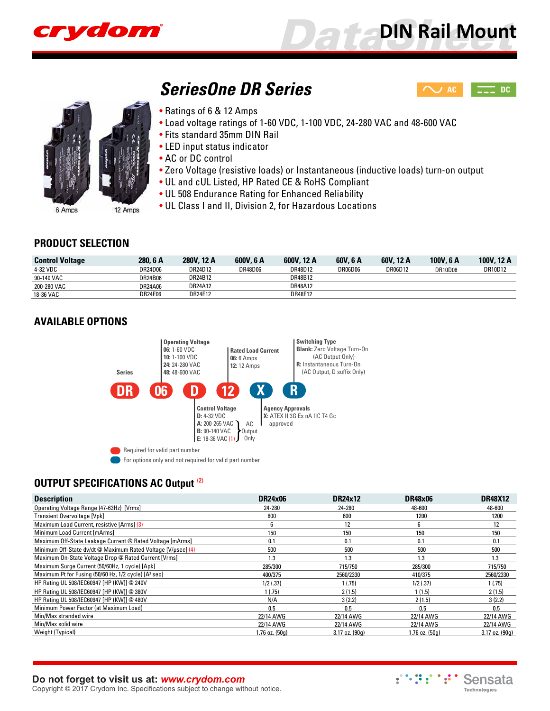

 $\sim$  [AC](http://www.crydom.com/en/products/din-rail-mount/ac-output/seriesone-dr/)  $\sim$  [DC](http://www.crydom.com/en/products/din-rail-mount/dc-output/seriesone-dr/)

12 Amps

# *SeriesOne DR Series*

- Ratings of 6 & 12 Amps
- Load voltage ratings of 1-60 VDC, 1-100 VDC, 24-280 VAC and 48-600 VAC
- Fits standard 35mm DIN Rail
- LED input status indicator
- AC or DC control
- Zero Voltage (resistive loads) or Instantaneous (inductive loads) turn-on output
- UL and cUL Listed, HP Rated CE & RoHS Compliant
- UL 508 Endurance Rating for Enhanced Reliability
- UL Class I and II, Division 2, for Hazardous Locations

#### **PRODUCT SELECTION**

6 Amps

| <b>Control Voltage</b> | 280, 6 A | 280V. 12 A | 600V, 6 A | 600V, 12 A | 60V. 6 A       | 60V, 12 A | 100V, 6 A      | 100V, 12 A |
|------------------------|----------|------------|-----------|------------|----------------|-----------|----------------|------------|
| 4-32 VDC               | DR24D06  | DR24D12    | DR48D06   | DR48D12    | <b>DR06D06</b> | DR06D12   | <b>DR10D06</b> | DR10D12    |
| 90-140 VAC             | DR24B06  | DR24B12    |           | DR48B12    |                |           |                |            |
| 200-280 VAC            | DR24A06  | DR24A12    |           | DR48A12    |                |           |                |            |
| 18-36 VAC              | DR24E06  | DR24E12    |           | DR48E12    |                |           |                |            |

# **AVAILABLE OPTIONS**



For options only and not required for valid part number

# **OUTPUT SPECIFICATIONS AC Output (2)**

| <b>Description</b>                                                             | <b>DR24x06</b>     | <b>DR24x12</b>     | <b>DR48×06</b> | <b>DR48X12</b>     |
|--------------------------------------------------------------------------------|--------------------|--------------------|----------------|--------------------|
| Operating Voltage Range (47-63Hz) [Vrms]                                       | 24-280             | 24-280             | 48-600         | 48-600             |
| Transient Overvoltage [Vpk]                                                    | 600                | 600                | 1200           | 1200               |
| Maximum Load Current, resistive [Arms] (3)                                     | 6                  | 12                 | 6              | 12                 |
| Minimum Load Current [mArms]                                                   | 150                | 150                | 150            | 150                |
| Maximum Off-State Leakage Current @ Rated Voltage [mArms]                      | 0.1                | 0.1                | 0.1            | 0.1                |
| Minimum Off-State dv/dt @ Maximum Rated Voltage [V/µsec] (4)                   | 500                | 500                | 500            | 500                |
| Maximum On-State Voltage Drop @ Rated Current [Vrms]                           | 1.3                | 1.3                | 1.3            | 1.3                |
| Maximum Surge Current (50/60Hz, 1 cycle) [Apk]                                 | 285/300            | 715/750            | 285/300        | 715/750            |
| Maximum 1 <sup>2</sup> t for Fusing (50/60 Hz, 1/2 cycle) [A <sup>2</sup> sec] | 400/375            | 2560/2330          | 410/375        | 2560/2330          |
| HP Rating UL 508/IEC60947 [HP (KW)] @ 240V                                     | $1/2$ (.37)        | 1(.75)             | $1/2$ (.37)    | 1(.75)             |
| HP Rating UL 508/IEC60947 [HP (KW)] @ 380V                                     | 1(.75)             | 2(1.5)             | 1(1.5)         | 2(1.5)             |
| HP Rating UL 508/IEC60947 [HP (KW)] @ 480V                                     | N/A                | 3(2.2)             | 2(1.5)         | 3(2.2)             |
| Minimum Power Factor (at Maximum Load)                                         | 0.5                | 0.5                | 0.5            | 0.5                |
| Min/Max stranded wire                                                          | 22/14 AWG          | 22/14 AWG          | 22/14 AWG      | 22/14 AWG          |
| Min/Max solid wire                                                             | 22/14 AWG          | 22/14 AWG          | 22/14 AWG      | 22/14 AWG          |
| Weight (Typical)                                                               | $1.76$ oz. $(50q)$ | $3.17$ oz. $(90a)$ | 1.76 oz. (50a) | $3.17$ oz. $(90q)$ |

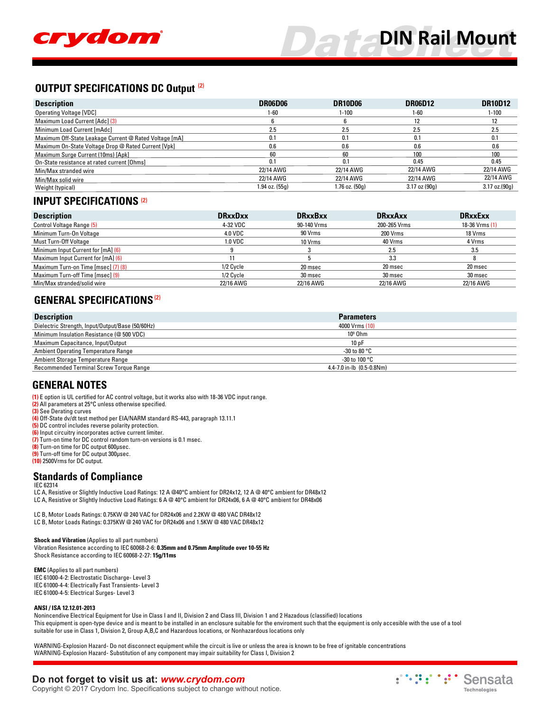

#### **OUTPUT SPECIFICATIONS DC Output (2)**

| <b>Description</b>                                     | DR06D06        | <b>DR10D06</b> | <b>DR06D12</b>  | <b>DR10D12</b> |
|--------------------------------------------------------|----------------|----------------|-----------------|----------------|
| <b>Operating Voltage [VDC]</b>                         | 1-60           | $1 - 100$      | 1-60            | $1 - 100$      |
| Maximum Load Current [Adc] (3)                         |                |                |                 |                |
| Minimum Load Current [mAdc]                            | 2.5            | 2.5            | 2.5             | 2.5            |
| Maximum Off-State Leakage Current @ Rated Voltage [mA] | 0.1            | 0.1            | 0.1             | 0.1            |
| Maximum On-State Voltage Drop @ Rated Current [Vpk]    | 0.6            | 0.6            | 0.6             | 0.6            |
| Maximum Surge Current (10ms) [Apk]                     | 60             | 60             | 100             | 100            |
| On-State resistance at rated current [Ohms]            | 0.1            | 0.1            | 0.45            | 0.45           |
| Min/Max stranded wire                                  | 22/14 AWG      | 22/14 AWG      | 22/14 AWG       | 22/14 AWG      |
| Min/Max solid wire                                     | 22/14 AWG      | 22/14 AWG      | 22/14 AWG       | 22/14 AWG      |
| Weight (typical)                                       | 1.94 oz. (55g) | 1.76 oz. (50g) | $3.17$ oz (90g) | 3.17 oz.(90g)  |

#### **INPUT SPECIFICATIONS (2)**

| <b>Description</b>                  | <b>DRxxDxx</b> | <b>DRxxBxx</b> | <b>DRxxAxx</b> | <b>DRxxExx</b> |
|-------------------------------------|----------------|----------------|----------------|----------------|
| <b>Control Voltage Range (5)</b>    | 4-32 VDC       | 90-140 Vrms    | 200-265 Vrms   | 18-36 Vrms (1) |
| Minimum Turn-On Voltage             | <b>4.0 VDC</b> | 90 Vrms        | 200 Vrms       | 18 Vrms        |
| Must Turn-Off Voltage               | 1.0 VDC        | 10 Vrms        | 40 Vrms        | 4 Vrms         |
| Minimum Input Current for [mA] (6)  |                |                | 2.5            | 3.5            |
| Maximum Input Current for [mA] (6)  |                |                | 3.3            |                |
| Maximum Turn-on Time [msec] (7) (8) | 1/2 Cycle      | 20 msec        | 20 msec        | 20 msec        |
| Maximum Turn-off Time [msec] (9)    | 1/2 Cycle      | 30 msec        | 30 msec        | 30 msec        |
| Min/Max stranded/solid wire         | 22/16 AWG      | 22/16 AWG      | 22/16 AWG      | 22/16 AWG      |

### **GENERAL SPECIFICATIONS(2)**

| <b>Description</b>                               | <b>Parameters</b>         |  |
|--------------------------------------------------|---------------------------|--|
| Dielectric Strength, Input/Output/Base (50/60Hz) | 4000 Vrms (10)            |  |
| Minimum Insulation Resistance (@ 500 VDC)        | $109$ Ohm                 |  |
| Maximum Capacitance, Input/Output                | 10pF                      |  |
| Ambient Operating Temperature Range              | -30 to 80 $^{\circ}$ C    |  |
| Ambient Storage Temperature Range                | -30 to 100 $^{\circ}$ C   |  |
| Recommended Terminal Screw Torque Range          | 4.4-7.0 in-lb (0.5-0.8Nm) |  |

#### **GENERAL NOTES**

- **(1)** E option is UL certified for AC control voltage, but it works also with 18-36 VDC input range.
- **(2)** All parameters at 25°C unless otherwise specified.
- **(3)** See Derating curves
- **(4)** Off-State dv/dt test method per EIA/NARM standard RS-443, paragraph 13.11.1
- **(5)** DC control includes reverse polarity protection.
- **(6)** Input circuitry incorporates active current limiter.
- **(7)** Turn-on time for DC control random turn-on versions is 0.1 msec.
- **(8)** Turn-on time for DC output 600µsec. **(9)** Turn-off time for DC output 300µsec.
- **(10)** 2500Vrms for DC output.

#### **Standards of Compliance**

- IEC 62314
- LC A, Resistive or Slightly Inductive Load Ratings: 12 A @40°C ambient for DR24x12, 12 A @ 40°C ambient for DR48x12
- LC A, Resistive or Slightly Inductive Load Ratings: 6 A @ 40°C ambient for DR24x06, 6 A @ 40°C ambient for DR48x06

LC B, Motor Loads Ratings: 0.75KW @ 240 VAC for DR24x06 and 2.2KW @ 480 VAC DR48x12 LC B, Motor Loads Ratings: 0.375KW @ 240 VAC for DR24x06 and 1.5KW @ 480 VAC DR48x12

**Shock and Vibration** (Applies to all part numbers) Vibration Resistence according to IEC 60068-2-6: **0.35mm and 0.75mm Amplitude over 10-55 Hz** Shock Resistance according to IEC 60068-2-27: **15g/11ms**

**EMC** (Applies to all part numbers) IEC 61000-4-2: Electrostatic Discharge- Level 3 IEC 61000-4-4: Electrically Fast Transients- Level 3 IEC 61000-4-5: Electrical Surges- Level 3

#### **ANSI / ISA 12.12.01-2013**

Nonincendive Electrical Equipment for Use in Class I and II, Division 2 and Class III, Division 1 and 2 Hazadous (classified) locations This equipment is open-type device and is meant to be installed in an enclosure suitable for the enviroment such that the equipment is only accesible with the use of a tool suitable for use in Class 1, Division 2, Group A,B,C and Hazardous locations, or Nonhazardous locations only

WARNING-Explosion Hazard- Do not disconnect equipment while the circuit is live or unless the area is known to be free of ignitable concentrations WARNING-Explosion Hazard- Substitution of any component may impair suitability for Class I, Division 2

### **Do not forget to visit us at:** *[www.crydom.com](http://www.crydom.com/)*

Copyright © 2017 Crydom Inc. Specifications subject to change without notice.

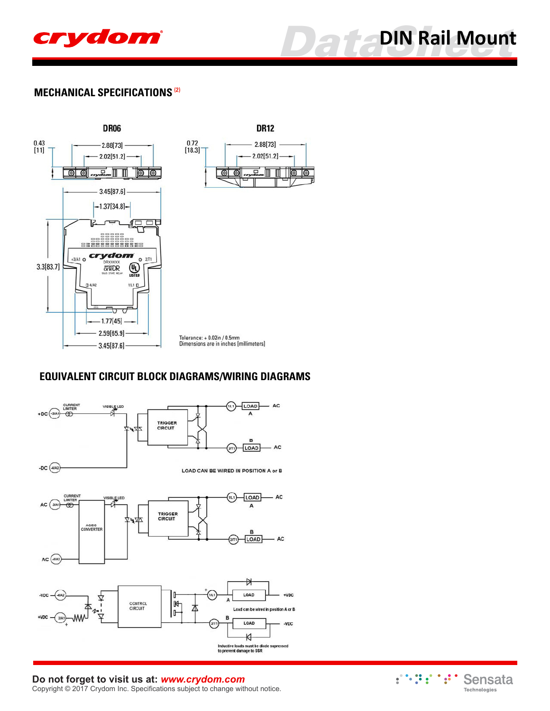

## **MECHANICAL SPECIFICATIONS (2)**



# **EQUIVALENT CIRCUIT BLOCK DIAGRAMS/WIRING DIAGRAMS**



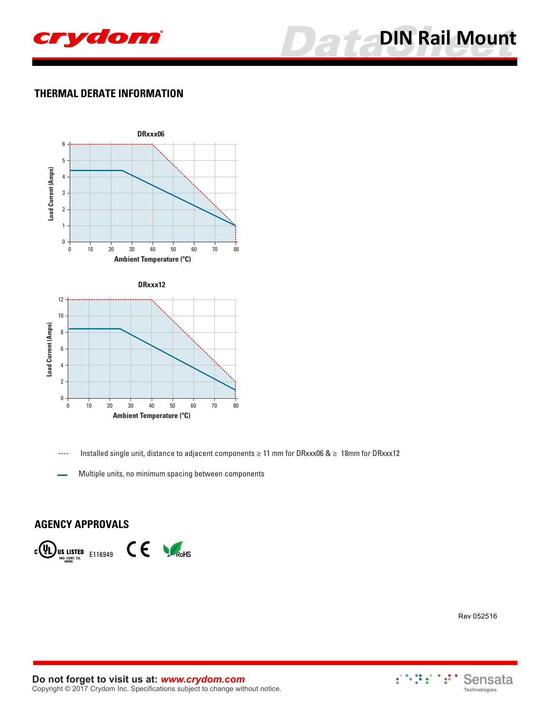



# **THERMAL DERATE INFORMATION**



Installed single unit, distance to adjacent components ≥ 11 mm for DRxxx06 & ≥ 18mm for DRxxx12

Multiple units, no minimum spacing between components

#### **AGENCY APPROVALS**



Rev 052516

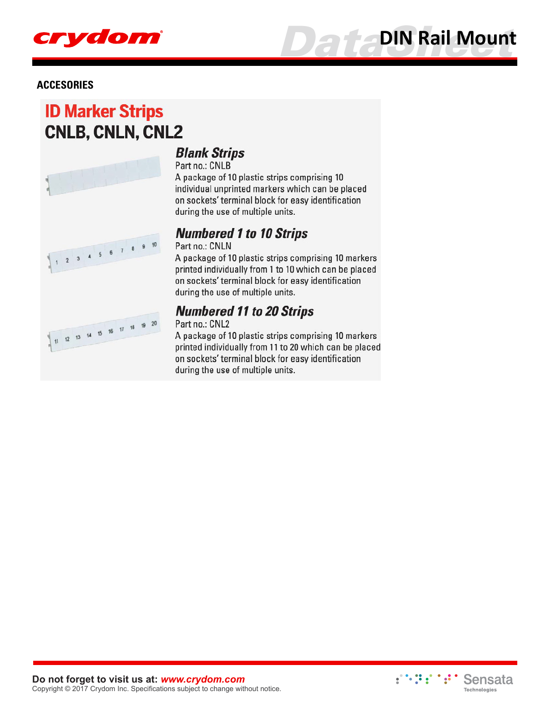

#### **ACCESORIES**

# **ID Marker Strips CNLB, CNLN, CNL2**



# **Blank Strips**

Part no.: CNLB A package of 10 plastic strips comprising 10 individual unprinted markers which can be placed on sockets' terminal block for easy identification during the use of multiple units.

# **Numbered 1 to 10 Strips**

Part no.: CNLN

A package of 10 plastic strips comprising 10 markers printed individually from 1 to 10 which can be placed on sockets' terminal block for easy identification during the use of multiple units.

# **Numbered 11 to 20 Strips**

Part no.: CNL2

A package of 10 plastic strips comprising 10 markers printed individually from 11 to 20 which can be placed on sockets' terminal block for easy identification during the use of multiple units.

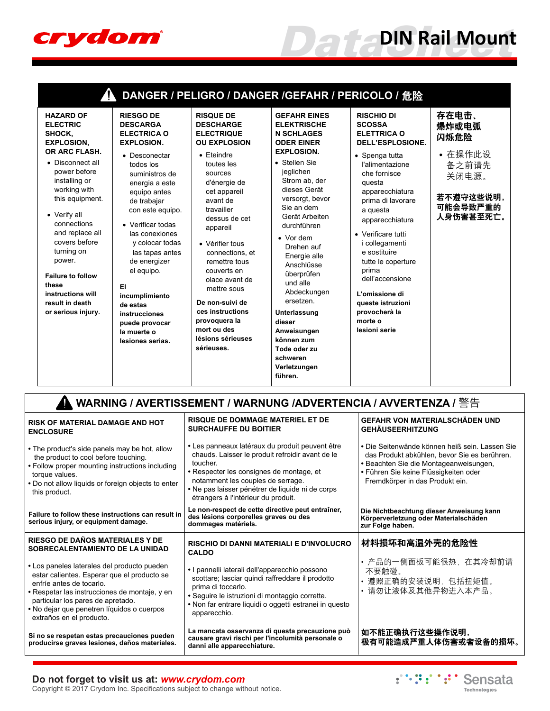

|                                                                                                                                                                                                                                                                                                                                                                           |                                                                                                                                                                                                                                                                                                                                                                                                                           | DANGER / PELIGRO / DANGER /GEFAHR / PERICOLO / 危险                                                                                                                                                                                                                                                                                                                                                                               |                                                                                                                                                                                                                                                                                                                                                                                                                                                                                |                                                                                                                                                                                                                                                                                                                                                                                                                         |                                                                                                                                                                                                                      |  |
|---------------------------------------------------------------------------------------------------------------------------------------------------------------------------------------------------------------------------------------------------------------------------------------------------------------------------------------------------------------------------|---------------------------------------------------------------------------------------------------------------------------------------------------------------------------------------------------------------------------------------------------------------------------------------------------------------------------------------------------------------------------------------------------------------------------|---------------------------------------------------------------------------------------------------------------------------------------------------------------------------------------------------------------------------------------------------------------------------------------------------------------------------------------------------------------------------------------------------------------------------------|--------------------------------------------------------------------------------------------------------------------------------------------------------------------------------------------------------------------------------------------------------------------------------------------------------------------------------------------------------------------------------------------------------------------------------------------------------------------------------|-------------------------------------------------------------------------------------------------------------------------------------------------------------------------------------------------------------------------------------------------------------------------------------------------------------------------------------------------------------------------------------------------------------------------|----------------------------------------------------------------------------------------------------------------------------------------------------------------------------------------------------------------------|--|
| <b>HAZARD OF</b><br><b>ELECTRIC</b><br>SHOCK,<br><b>EXPLOSION,</b><br>OR ARC FLASH.<br>• Disconnect all<br>power before<br>installing or<br>working with<br>this equipment.<br>• Verify all<br>connections<br>and replace all<br>covers before<br>turning on<br>power.<br><b>Failure to follow</b><br>these<br>instructions will<br>result in death<br>or serious injury. | <b>RIESGO DE</b><br><b>DESCARGA</b><br><b>ELECTRICA O</b><br><b>EXPLOSION.</b><br>• Desconectar<br>todos los<br>suministros de<br>energia a este<br>equipo antes<br>de trabajar<br>con este equipo.<br>• Verificar todas<br>las conexiones<br>y colocar todas<br>las tapas antes<br>de energizer<br>el equipo.<br>EI.<br>incumplimiento<br>de estas<br>instrucciones<br>puede provocar<br>la muerte o<br>lesiones serias. | <b>RISQUE DE</b><br><b>DESCHARGE</b><br><b>ELECTRIQUE</b><br><b>OU EXPLOSION</b><br>• Eteindre<br>toutes les<br>sources<br>d'énergie de<br>cet appareil<br>avant de<br>travailler<br>dessus de cet<br>appareil<br>• Vérifier tous<br>connections, et<br>remettre tous<br>couverts en<br>olace avant de<br>mettre sous<br>De non-suivi de<br>ces instructions<br>provoquera la<br>mort ou des<br>lésions sérieuses<br>sérieuses. | <b>GEFAHR EINES</b><br><b>ELEKTRISCHE</b><br><b>N SCHLAGES</b><br><b>ODER EINER</b><br><b>EXPLOSION.</b><br>• Stellen Sie<br>jeglichen<br>Strom ab, der<br>dieses Gerät<br>versorgt, bevor<br>Sie an dem<br>Gerät Arbeiten<br>durchführen<br>$\bullet$ Vor dem<br>Drehen auf<br>Energie alle<br>Anschlüsse<br>überprüfen<br>und alle<br>Abdeckungen<br>ersetzen.<br>Unterlassung<br>dieser<br>Anweisungen<br>können zum<br>Tode oder zu<br>schweren<br>Verletzungen<br>führen. | <b>RISCHIO DI</b><br><b>SCOSSA</b><br><b>ELETTRICA O</b><br><b>DELL'ESPLOSIONE.</b><br>• Spenga tutta<br>l'alimentazione<br>che fornisce<br>questa<br>apparecchiatura<br>prima di lavorare<br>a questa<br>apparecchiatura<br>• Verificare tutti<br>i collegamenti<br>e sostituire<br>tutte le coperture<br>prima<br>dell'accensione<br>L'omissione di<br>queste istruzioni<br>provocherà la<br>morte o<br>lesioni serie | 存在电击、<br>爆炸或电弧<br>闪烁危险<br>• 在操作此设<br>备之前请先<br>关闭电源。<br>若不遵守这些说明,<br>可能会导致严重的<br>人身伤害甚至死亡。                                                                                                                            |  |
|                                                                                                                                                                                                                                                                                                                                                                           |                                                                                                                                                                                                                                                                                                                                                                                                                           |                                                                                                                                                                                                                                                                                                                                                                                                                                 |                                                                                                                                                                                                                                                                                                                                                                                                                                                                                | WARNING / AVERTISSEMENT / WARNUNG /ADVERTENCIA / AVVERTENZA / 警告                                                                                                                                                                                                                                                                                                                                                        |                                                                                                                                                                                                                      |  |
| <b>RISK OF MATERIAL DAMAGE AND HOT</b><br><b>ENCLOSURE</b>                                                                                                                                                                                                                                                                                                                |                                                                                                                                                                                                                                                                                                                                                                                                                           | <b>RISQUE DE DOMMAGE MATERIEL ET DE</b><br><b>SURCHAUFFE DU BOITIER</b>                                                                                                                                                                                                                                                                                                                                                         |                                                                                                                                                                                                                                                                                                                                                                                                                                                                                |                                                                                                                                                                                                                                                                                                                                                                                                                         | GEFAHR VON MATERIALSCHÄDEN UND<br><b>GEHÄUSEERHITZUNG</b>                                                                                                                                                            |  |
| • The product's side panels may be hot, allow<br>the product to cool before touching.<br>• Follow proper mounting instructions including<br>torque values.<br>. Do not allow liquids or foreign objects to enter<br>this product.                                                                                                                                         |                                                                                                                                                                                                                                                                                                                                                                                                                           | · Les panneaux latéraux du produit peuvent être<br>chauds. Laisser le produit refroidir avant de le<br>toucher.<br>• Respecter les consignes de montage, et<br>notamment les couples de serrage.<br>· Ne pas laisser pénétrer de liquide ni de corps<br>étrangers à l'intérieur du produit.                                                                                                                                     |                                                                                                                                                                                                                                                                                                                                                                                                                                                                                |                                                                                                                                                                                                                                                                                                                                                                                                                         | • Die Seitenwände können heiß sein. Lassen Sie<br>das Produkt abkühlen, bevor Sie es berühren.<br>· Beachten Sie die Montageanweisungen,<br>• Führen Sie keine Flüssigkeiten oder<br>Fremdkörper in das Produkt ein. |  |

**Failure to follow these instructions can result in serious injury, or equipment damage. Le non-respect de cette directive peut entraîner, des lésions corporelles graves ou des dommages matériels.**

**CALDO**

#### **RIESGO DE DAÑOS MATERIALES Y DE SOBRECALENTAMIENTO DE LA UNIDAD**

- **•** Los paneles laterales del producto pueden estar calientes. Esperar que el producto se enfríe antes de tocarlo.
- **•** Respetar las instrucciones de montaje, y en particular los pares de apretado.
- **•** No dejar que penetren líquidos o cuerpos extraños en el producto.

**Si no se respetan estas precauciones pueden producirse graves lesiones, daños materiales.** **RISCHIO DI DANNI MATERIALI E D'INVOLUCRO**  材料损坏和高温外壳的危险性

- **•** I pannelli laterali dell'apparecchio possono scottare; lasciar quindi raffreddare il prodotto prima di toccarlo.
- **•** Seguire le istruzioni di montaggio corrette. **•** Non far entrare liquidi o oggetti estranei in questo apparecchio.

**La mancata osservanza di questa precauzione può causare gravi rischi per l'incolumità personale o danni alle apparecchiature.**



### **Do not forget to visit us at:** *[www.crydom.com](http://www.crydom.com/)*

Copyright © 2017 Crydom Inc. Specifications subject to change without notice.

:":":" Sensata Technologies

**Die Nichtbeachtung dieser Anweisung kann Körperverletzung oder Materialschäden** 

• 产品的一侧面板可能很热,在其冷却前请

• 遵照正确的安装说明,包括扭矩值。 • 请勿让液体及其他异物进入本产品。

**zur Folge haben.**

不要触碰。